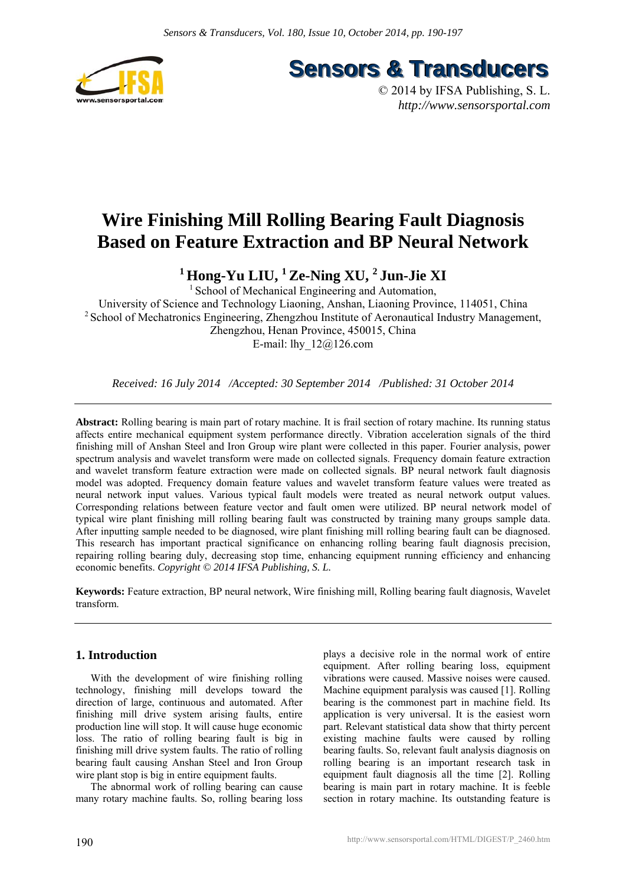

**Sensors & Transducers** 

© 2014 by IFSA Publishing, S. L. *http://www.sensorsportal.com*

# **Wire Finishing Mill Rolling Bearing Fault Diagnosis Based on Feature Extraction and BP Neural Network**

<sup>1</sup> Hong-Yu LIU, <sup>1</sup> Ze-Ning XU, <sup>2</sup> Jun-Jie XI

<sup>1</sup> School of Mechanical Engineering and Automation, University of Science and Technology Liaoning, Anshan, Liaoning Province, 114051, China <sup>2</sup> School of Mechatronics Engineering, Zhengzhou Institute of Aeronautical Industry Management, Zhengzhou, Henan Province, 450015, China E-mail: lhy\_12@126.com

*Received: 16 July 2014 /Accepted: 30 September 2014 /Published: 31 October 2014* 

**Abstract:** Rolling bearing is main part of rotary machine. It is frail section of rotary machine. Its running status affects entire mechanical equipment system performance directly. Vibration acceleration signals of the third finishing mill of Anshan Steel and Iron Group wire plant were collected in this paper. Fourier analysis, power spectrum analysis and wavelet transform were made on collected signals. Frequency domain feature extraction and wavelet transform feature extraction were made on collected signals. BP neural network fault diagnosis model was adopted. Frequency domain feature values and wavelet transform feature values were treated as neural network input values. Various typical fault models were treated as neural network output values. Corresponding relations between feature vector and fault omen were utilized. BP neural network model of typical wire plant finishing mill rolling bearing fault was constructed by training many groups sample data. After inputting sample needed to be diagnosed, wire plant finishing mill rolling bearing fault can be diagnosed. This research has important practical significance on enhancing rolling bearing fault diagnosis precision, repairing rolling bearing duly, decreasing stop time, enhancing equipment running efficiency and enhancing economic benefits. *Copyright © 2014 IFSA Publishing, S. L.*

**Keywords:** Feature extraction, BP neural network, Wire finishing mill, Rolling bearing fault diagnosis, Wavelet transform.

# **1. Introduction**

With the development of wire finishing rolling technology, finishing mill develops toward the direction of large, continuous and automated. After finishing mill drive system arising faults, entire production line will stop. It will cause huge economic loss. The ratio of rolling bearing fault is big in finishing mill drive system faults. The ratio of rolling bearing fault causing Anshan Steel and Iron Group wire plant stop is big in entire equipment faults.

The abnormal work of rolling bearing can cause many rotary machine faults. So, rolling bearing loss plays a decisive role in the normal work of entire equipment. After rolling bearing loss, equipment vibrations were caused. Massive noises were caused. Machine equipment paralysis was caused [1]. Rolling bearing is the commonest part in machine field. Its application is very universal. It is the easiest worn part. Relevant statistical data show that thirty percent existing machine faults were caused by rolling bearing faults. So, relevant fault analysis diagnosis on rolling bearing is an important research task in equipment fault diagnosis all the time [2]. Rolling bearing is main part in rotary machine. It is feeble section in rotary machine. Its outstanding feature is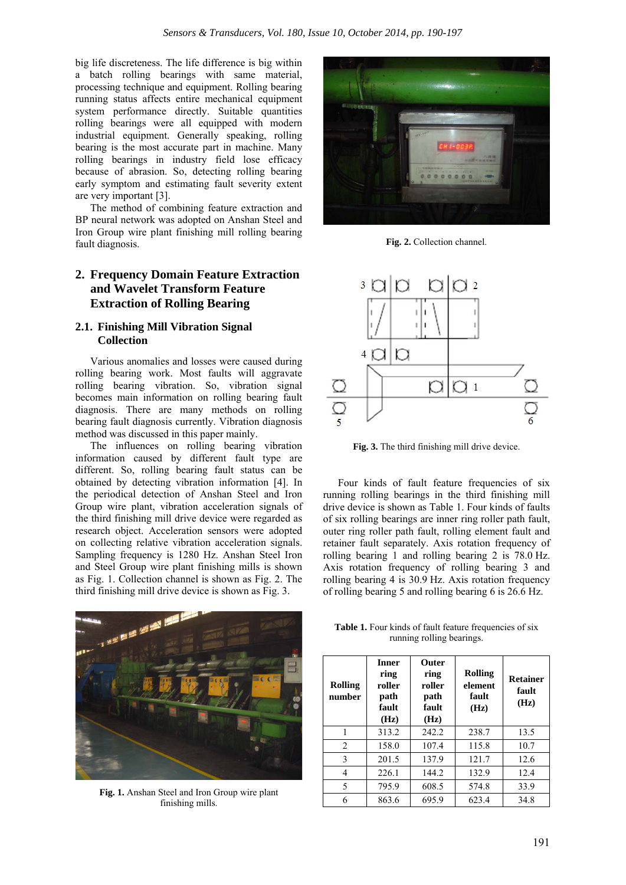big life discreteness. The life difference is big within a batch rolling bearings with same material, processing technique and equipment. Rolling bearing running status affects entire mechanical equipment system performance directly. Suitable quantities rolling bearings were all equipped with modern industrial equipment. Generally speaking, rolling bearing is the most accurate part in machine. Many rolling bearings in industry field lose efficacy because of abrasion. So, detecting rolling bearing early symptom and estimating fault severity extent are very important [3].

The method of combining feature extraction and BP neural network was adopted on Anshan Steel and Iron Group wire plant finishing mill rolling bearing fault diagnosis.

## **2. Frequency Domain Feature Extraction and Wavelet Transform Feature Extraction of Rolling Bearing**

#### **2.1. Finishing Mill Vibration Signal Collection**

Various anomalies and losses were caused during rolling bearing work. Most faults will aggravate rolling bearing vibration. So, vibration signal becomes main information on rolling bearing fault diagnosis. There are many methods on rolling bearing fault diagnosis currently. Vibration diagnosis method was discussed in this paper mainly.

The influences on rolling bearing vibration information caused by different fault type are different. So, rolling bearing fault status can be obtained by detecting vibration information [4]. In the periodical detection of Anshan Steel and Iron Group wire plant, vibration acceleration signals of the third finishing mill drive device were regarded as research object. Acceleration sensors were adopted on collecting relative vibration acceleration signals. Sampling frequency is 1280 Hz. Anshan Steel Iron and Steel Group wire plant finishing mills is shown as Fig. 1. Collection channel is shown as Fig. 2. The third finishing mill drive device is shown as Fig. 3.



**Fig. 1.** Anshan Steel and Iron Group wire plant finishing mills.



**Fig. 2.** Collection channel.



**Fig. 3.** The third finishing mill drive device.

Four kinds of fault feature frequencies of six running rolling bearings in the third finishing mill drive device is shown as Table 1. Four kinds of faults of six rolling bearings are inner ring roller path fault, outer ring roller path fault, rolling element fault and retainer fault separately. Axis rotation frequency of rolling bearing 1 and rolling bearing 2 is 78.0 Hz. Axis rotation frequency of rolling bearing 3 and rolling bearing 4 is 30.9 Hz. Axis rotation frequency of rolling bearing 5 and rolling bearing 6 is 26.6 Hz.

Table 1. Four kinds of fault feature frequencies of six running rolling bearings.

| <b>Rolling</b><br>number | <b>Inner</b><br>ring<br>roller<br>path<br>fault<br>(Hz) | <b>Outer</b><br>ring<br>roller<br>path<br>fault<br>(Hz) | <b>Rolling</b><br>element<br>fault<br>(Hz) | <b>Retainer</b><br>fault<br>(Hz) |
|--------------------------|---------------------------------------------------------|---------------------------------------------------------|--------------------------------------------|----------------------------------|
| 1                        | 313.2                                                   | 242.2                                                   | 238.7                                      | 13.5                             |
| 2                        | 158.0                                                   | 107.4                                                   | 115.8                                      | 10.7                             |
| 3                        | 201.5                                                   | 137.9                                                   | 121.7                                      | 12.6                             |
| 4                        | 226.1                                                   | 144.2                                                   | 132.9                                      | 12.4                             |
| 5                        | 795.9                                                   | 608.5                                                   | 574.8                                      | 33.9                             |
| 6                        | 863.6                                                   | 695.9                                                   | 623.4                                      | 34.8                             |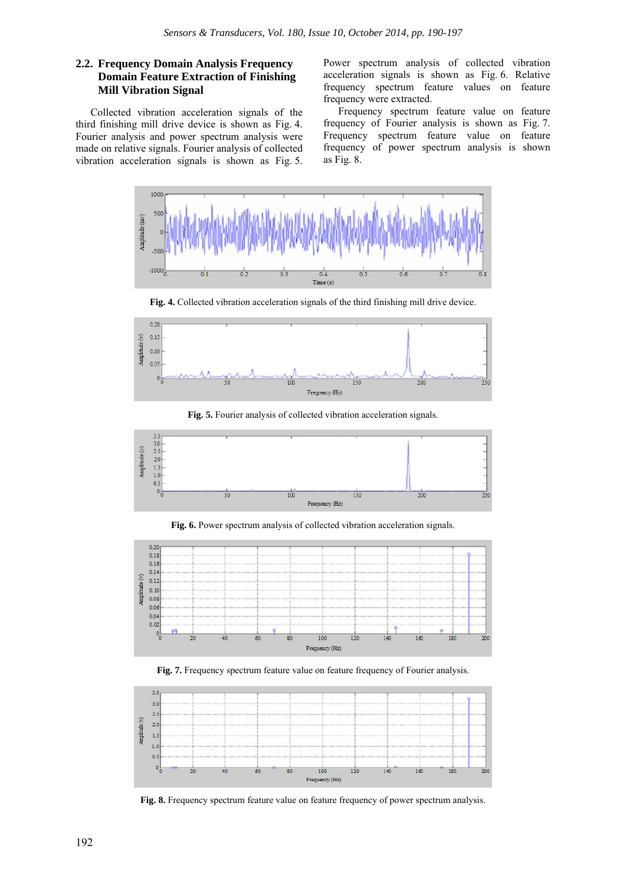#### **2.2. Frequency Domain Analysis Frequency Domain Feature Extraction of Finishing Mill Vibration Signal**

Collected vibration acceleration signals of the third finishing mill drive device is shown as Fig. 4. Fourier analysis and power spectrum analysis were made on relative signals. Fourier analysis of collected vibration acceleration signals is shown as Fig. 5.

Power spectrum analysis of collected vibration acceleration signals is shown as Fig. 6. Relative frequency spectrum feature values on feature frequency were extracted.

Frequency spectrum feature value on feature frequency of Fourier analysis is shown as Fig. 7. Frequency spectrum feature value on feature frequency of power spectrum analysis is shown as Fig. 8.



**Fig. 4.** Collected vibration acceleration signals of the third finishing mill drive device.



**Fig. 5.** Fourier analysis of collected vibration acceleration signals.



**Fig. 6.** Power spectrum analysis of collected vibration acceleration signals.



**Fig. 7.** Frequency spectrum feature value on feature frequency of Fourier analysis.



Fig. 8. Frequency spectrum feature value on feature frequency of power spectrum analysis.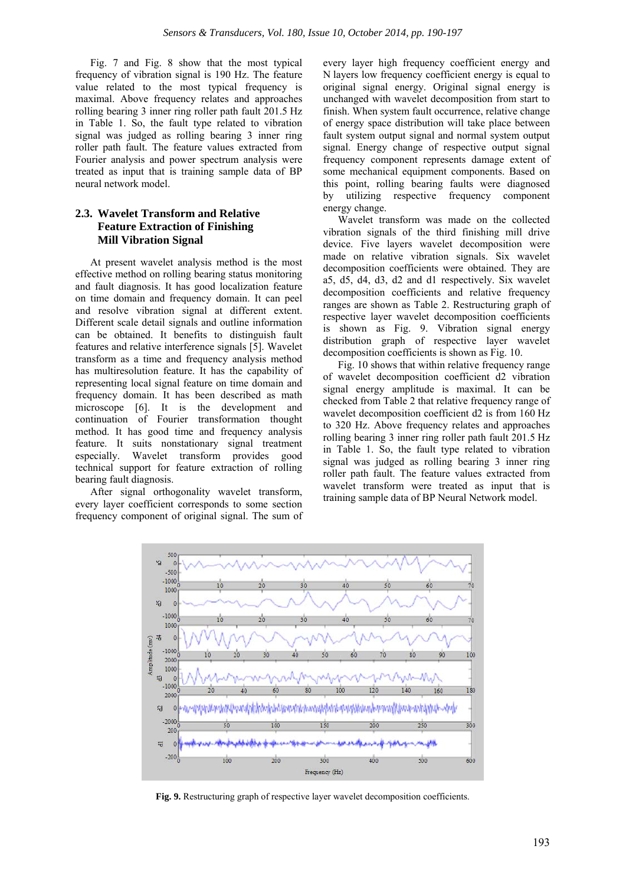Fig. 7 and Fig. 8 show that the most typical frequency of vibration signal is 190 Hz. The feature value related to the most typical frequency is maximal. Above frequency relates and approaches rolling bearing 3 inner ring roller path fault 201.5 Hz in Table 1. So, the fault type related to vibration signal was judged as rolling bearing 3 inner ring roller path fault. The feature values extracted from Fourier analysis and power spectrum analysis were treated as input that is training sample data of BP neural network model.

#### **2.3. Wavelet Transform and Relative Feature Extraction of Finishing Mill Vibration Signal**

At present wavelet analysis method is the most effective method on rolling bearing status monitoring and fault diagnosis. It has good localization feature on time domain and frequency domain. It can peel and resolve vibration signal at different extent. Different scale detail signals and outline information can be obtained. It benefits to distinguish fault features and relative interference signals [5]. Wavelet transform as a time and frequency analysis method has multiresolution feature. It has the capability of representing local signal feature on time domain and frequency domain. It has been described as math microscope [6]. It is the development and continuation of Fourier transformation thought method. It has good time and frequency analysis feature. It suits nonstationary signal treatment especially. Wavelet transform provides good technical support for feature extraction of rolling bearing fault diagnosis.

After signal orthogonality wavelet transform, every layer coefficient corresponds to some section frequency component of original signal. The sum of every layer high frequency coefficient energy and N layers low frequency coefficient energy is equal to original signal energy. Original signal energy is unchanged with wavelet decomposition from start to finish. When system fault occurrence, relative change of energy space distribution will take place between fault system output signal and normal system output signal. Energy change of respective output signal frequency component represents damage extent of some mechanical equipment components. Based on this point, rolling bearing faults were diagnosed by utilizing respective frequency component energy change.

Wavelet transform was made on the collected vibration signals of the third finishing mill drive device. Five layers wavelet decomposition were made on relative vibration signals. Six wavelet decomposition coefficients were obtained. They are a5, d5, d4, d3, d2 and d1 respectively. Six wavelet decomposition coefficients and relative frequency ranges are shown as Table 2. Restructuring graph of respective layer wavelet decomposition coefficients is shown as Fig. 9. Vibration signal energy distribution graph of respective layer wavelet decomposition coefficients is shown as Fig. 10.

Fig. 10 shows that within relative frequency range of wavelet decomposition coefficient d2 vibration signal energy amplitude is maximal. It can be checked from Table 2 that relative frequency range of wavelet decomposition coefficient d2 is from 160 Hz to 320 Hz. Above frequency relates and approaches rolling bearing 3 inner ring roller path fault 201.5 Hz in Table 1. So, the fault type related to vibration signal was judged as rolling bearing 3 inner ring roller path fault. The feature values extracted from wavelet transform were treated as input that is training sample data of BP Neural Network model.



**Fig. 9.** Restructuring graph of respective layer wavelet decomposition coefficients.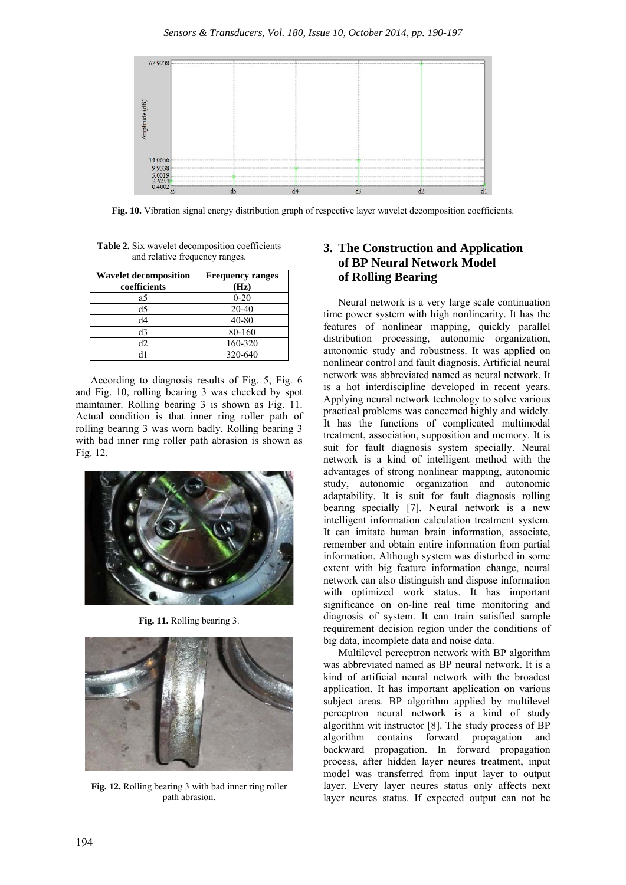

**Fig. 10.** Vibration signal energy distribution graph of respective layer wavelet decomposition coefficients.

**Table 2.** Six wavelet decomposition coefficients and relative frequency ranges.

| <b>Wavelet decomposition</b><br>coefficients | <b>Frequency ranges</b><br>(Hz) |
|----------------------------------------------|---------------------------------|
| a5                                           | $0 - 20$                        |
| d <sub>5</sub>                               | $20 - 40$                       |
| d4                                           | 40-80                           |
| d3                                           | 80-160                          |
| d2                                           | 160-320                         |
|                                              | 320-640                         |

According to diagnosis results of Fig. 5, Fig. 6 and Fig. 10, rolling bearing 3 was checked by spot maintainer. Rolling bearing 3 is shown as Fig. 11. Actual condition is that inner ring roller path of rolling bearing 3 was worn badly. Rolling bearing 3 with bad inner ring roller path abrasion is shown as Fig. 12.



**Fig. 11.** Rolling bearing 3.



**Fig. 12.** Rolling bearing 3 with bad inner ring roller path abrasion.

# **3. The Construction and Application of BP Neural Network Model of Rolling Bearing**

Neural network is a very large scale continuation time power system with high nonlinearity. It has the features of nonlinear mapping, quickly parallel distribution processing, autonomic organization, autonomic study and robustness. It was applied on nonlinear control and fault diagnosis. Artificial neural network was abbreviated named as neural network. It is a hot interdiscipline developed in recent years. Applying neural network technology to solve various practical problems was concerned highly and widely. It has the functions of complicated multimodal treatment, association, supposition and memory. It is suit for fault diagnosis system specially. Neural network is a kind of intelligent method with the advantages of strong nonlinear mapping, autonomic study, autonomic organization and autonomic adaptability. It is suit for fault diagnosis rolling bearing specially [7]. Neural network is a new intelligent information calculation treatment system. It can imitate human brain information, associate, remember and obtain entire information from partial information. Although system was disturbed in some extent with big feature information change, neural network can also distinguish and dispose information with optimized work status. It has important significance on on-line real time monitoring and diagnosis of system. It can train satisfied sample requirement decision region under the conditions of big data, incomplete data and noise data.

Multilevel perceptron network with BP algorithm was abbreviated named as BP neural network. It is a kind of artificial neural network with the broadest application. It has important application on various subject areas. BP algorithm applied by multilevel perceptron neural network is a kind of study algorithm wit instructor [8]. The study process of BP algorithm contains forward propagation and backward propagation. In forward propagation process, after hidden layer neures treatment, input model was transferred from input layer to output layer. Every layer neures status only affects next layer neures status. If expected output can not be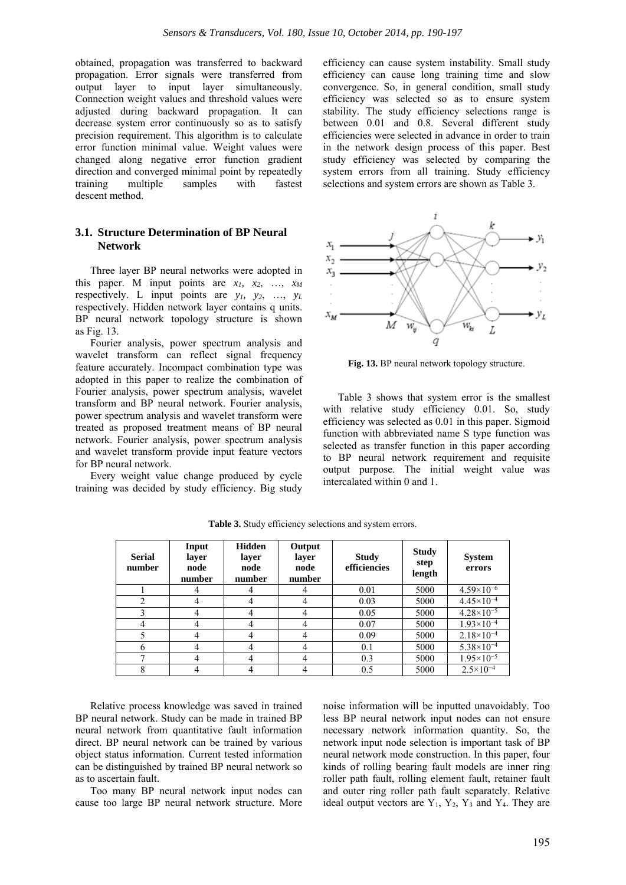obtained, propagation was transferred to backward propagation. Error signals were transferred from output layer to input layer simultaneously. Connection weight values and threshold values were adjusted during backward propagation. It can decrease system error continuously so as to satisfy precision requirement. This algorithm is to calculate error function minimal value. Weight values were changed along negative error function gradient direction and converged minimal point by repeatedly training multiple samples with fastest descent method.

#### **3.1. Structure Determination of BP Neural Network**

Three layer BP neural networks were adopted in this paper. M input points are  $x_1$ ,  $x_2$ , ...,  $x_M$ respectively. L input points are  $y_1$ ,  $y_2$ , ...,  $y_L$ respectively. Hidden network layer contains q units. BP neural network topology structure is shown as Fig. 13.

Fourier analysis, power spectrum analysis and wavelet transform can reflect signal frequency feature accurately. Incompact combination type was adopted in this paper to realize the combination of Fourier analysis, power spectrum analysis, wavelet transform and BP neural network. Fourier analysis, power spectrum analysis and wavelet transform were treated as proposed treatment means of BP neural network. Fourier analysis, power spectrum analysis and wavelet transform provide input feature vectors for BP neural network.

Every weight value change produced by cycle training was decided by study efficiency. Big study

efficiency can cause system instability. Small study efficiency can cause long training time and slow convergence. So, in general condition, small study efficiency was selected so as to ensure system stability. The study efficiency selections range is between 0.01 and 0.8. Several different study efficiencies were selected in advance in order to train in the network design process of this paper. Best study efficiency was selected by comparing the system errors from all training. Study efficiency selections and system errors are shown as Table 3.



**Fig. 13.** BP neural network topology structure.

Table 3 shows that system error is the smallest with relative study efficiency 0.01. So, study efficiency was selected as 0.01 in this paper. Sigmoid function with abbreviated name S type function was selected as transfer function in this paper according to BP neural network requirement and requisite output purpose. The initial weight value was intercalated within 0 and 1.

| <b>Serial</b><br>number | Input<br>layer<br>node<br>number | <b>Hidden</b><br>layer<br>node<br>number | Output<br>layer<br>node<br>number | <b>Study</b><br>efficiencies | <b>Study</b><br>step<br>length | <b>System</b><br>errors |
|-------------------------|----------------------------------|------------------------------------------|-----------------------------------|------------------------------|--------------------------------|-------------------------|
|                         |                                  |                                          | 4                                 | 0.01                         | 5000                           | $4.59\times10^{-6}$     |
| ↑                       | 4                                | 4                                        | 4                                 | 0.03                         | 5000                           | $4.45 \times 10^{-4}$   |
|                         | 4                                | 4                                        | 4                                 | 0.05                         | 5000                           | $4.28 \times 10^{-5}$   |
|                         |                                  |                                          | 4                                 | 0.07                         | 5000                           | $1.93\times10^{-4}$     |
|                         |                                  |                                          | 4                                 | 0.09                         | 5000                           | $2.18 \times 10^{-4}$   |
| 6                       |                                  |                                          |                                   | 0.1                          | 5000                           | $5.38 \times 10^{-4}$   |
|                         |                                  |                                          |                                   | 0.3                          | 5000                           | $1.95 \times 10^{-5}$   |
| 8                       |                                  |                                          | 4                                 | 0.5                          | 5000                           | $2.5 \times 10^{-4}$    |

**Table 3.** Study efficiency selections and system errors.

Relative process knowledge was saved in trained BP neural network. Study can be made in trained BP neural network from quantitative fault information direct. BP neural network can be trained by various object status information. Current tested information can be distinguished by trained BP neural network so as to ascertain fault.

Too many BP neural network input nodes can cause too large BP neural network structure. More noise information will be inputted unavoidably. Too less BP neural network input nodes can not ensure necessary network information quantity. So, the network input node selection is important task of BP neural network mode construction. In this paper, four kinds of rolling bearing fault models are inner ring roller path fault, rolling element fault, retainer fault and outer ring roller path fault separately. Relative ideal output vectors are  $Y_1$ ,  $Y_2$ ,  $Y_3$  and  $Y_4$ . They are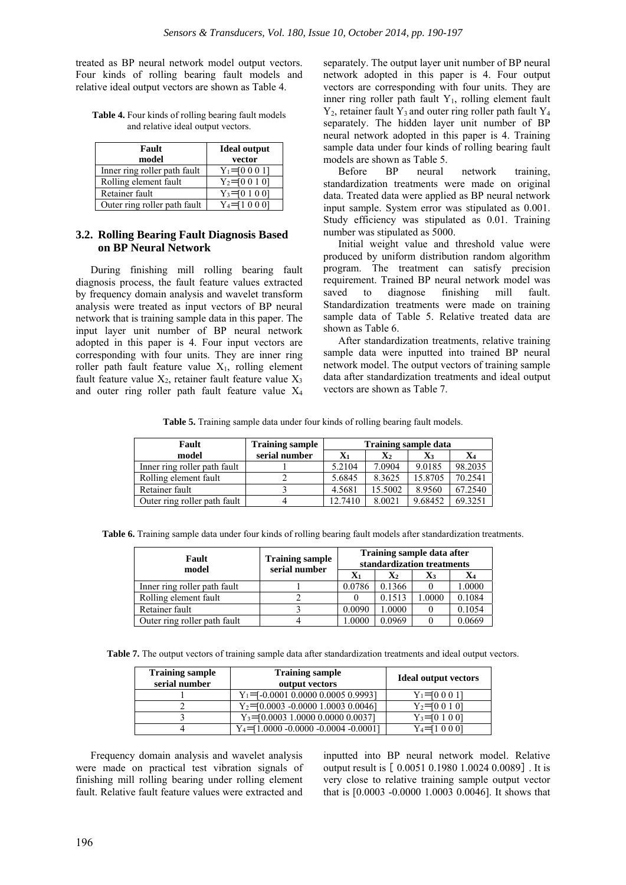treated as BP neural network model output vectors. Four kinds of rolling bearing fault models and relative ideal output vectors are shown as Table 4.

**Table 4.** Four kinds of rolling bearing fault models and relative ideal output vectors.

| Fault                        | <b>Ideal output</b> |  |
|------------------------------|---------------------|--|
| model                        | vector              |  |
| Inner ring roller path fault | $Y_1 = 0001$        |  |
| Rolling element fault        | $Y_2 = 00101$       |  |
| Retainer fault               | $Y_3 = 01001$       |  |
| Outer ring roller path fault | Y4≡10001            |  |

#### **3.2. Rolling Bearing Fault Diagnosis Based on BP Neural Network**

During finishing mill rolling bearing fault diagnosis process, the fault feature values extracted by frequency domain analysis and wavelet transform analysis were treated as input vectors of BP neural network that is training sample data in this paper. The input layer unit number of BP neural network adopted in this paper is 4. Four input vectors are corresponding with four units. They are inner ring roller path fault feature value  $X_1$ , rolling element fault feature value  $X_2$ , retainer fault feature value  $X_3$ and outer ring roller path fault feature value X4 separately. The output layer unit number of BP neural network adopted in this paper is 4. Four output vectors are corresponding with four units. They are inner ring roller path fault Y<sub>1</sub>, rolling element fault  $Y_2$ , retainer fault  $Y_3$  and outer ring roller path fault  $Y_4$ separately. The hidden layer unit number of BP neural network adopted in this paper is 4. Training sample data under four kinds of rolling bearing fault models are shown as Table 5.

Before BP neural network training, standardization treatments were made on original data. Treated data were applied as BP neural network input sample. System error was stipulated as 0.001. Study efficiency was stipulated as 0.01. Training number was stipulated as 5000.

Initial weight value and threshold value were produced by uniform distribution random algorithm program. The treatment can satisfy precision requirement. Trained BP neural network model was saved to diagnose finishing mill fault. Standardization treatments were made on training sample data of Table 5. Relative treated data are shown as Table 6.

After standardization treatments, relative training sample data were inputted into trained BP neural network model. The output vectors of training sample data after standardization treatments and ideal output vectors are shown as Table 7.

**Table 5.** Training sample data under four kinds of rolling bearing fault models.

| Fault                        | <b>Training sample</b> | <b>Training sample data</b> |                |         |         |
|------------------------------|------------------------|-----------------------------|----------------|---------|---------|
| model                        | serial number          | $\mathbf{X}_1$              | $\mathbf{X}_2$ | X3      | X4      |
| Inner ring roller path fault |                        | 5.2104                      | 7.0904         | 9.0185  | 98.2035 |
| Rolling element fault        |                        | 5.6845                      | 8.3625         | 15.8705 | 70.2541 |
| Retainer fault               |                        | 4.5681                      | 15.5002        | 8.9560  | 67.2540 |
| Outer ring roller path fault |                        | 12.7410                     | 8.0021         | 9.68452 | 69.3251 |

**Table 6.** Training sample data under four kinds of rolling bearing fault models after standardization treatments.

| Fault                        | <b>Training sample</b><br>serial number | Training sample data after<br>standardization treatments |                |        |        |
|------------------------------|-----------------------------------------|----------------------------------------------------------|----------------|--------|--------|
| model                        |                                         | Xı                                                       | $\mathbf{X}_2$ | X3     | X4     |
| Inner ring roller path fault |                                         | 0.0786                                                   | 0.1366         |        | .0000  |
| Rolling element fault        |                                         |                                                          | 0.1513         | 1.0000 | 0.1084 |
| Retainer fault               |                                         | 0.0090                                                   | 1.0000         |        | 0.1054 |
| Outer ring roller path fault |                                         | 1.0000                                                   | 0.0969         |        | 0.0669 |

**Table 7.** The output vectors of training sample data after standardization treatments and ideal output vectors.

| <b>Training sample</b><br>serial number | <b>Training sample</b><br>output vectors  | <b>Ideal output vectors</b> |
|-----------------------------------------|-------------------------------------------|-----------------------------|
|                                         | $Y_1 = -0.0001 0.0000 0.0005 0.9993$      | $Y_1 = 00011$               |
|                                         | $Y_2$ = [0.0003 - 0.0000 1.0003 0.0046]   | $Y_2 = 00101$               |
|                                         | $Y_3 = 0.0003$ 1.0000 0.0000 0.0037       | $Y_3 = 0100$                |
|                                         | $Y_4 = 1.0000 - 0.0000 - 0.0004 - 0.0001$ | $Y_4 = 10001$               |

Frequency domain analysis and wavelet analysis were made on practical test vibration signals of finishing mill rolling bearing under rolling element fault. Relative fault feature values were extracted and

inputted into BP neural network model. Relative output result is  $[0.0051 0.1980 1.0024 0.0089]$ . It is very close to relative training sample output vector that is [0.0003 -0.0000 1.0003 0.0046]. It shows that